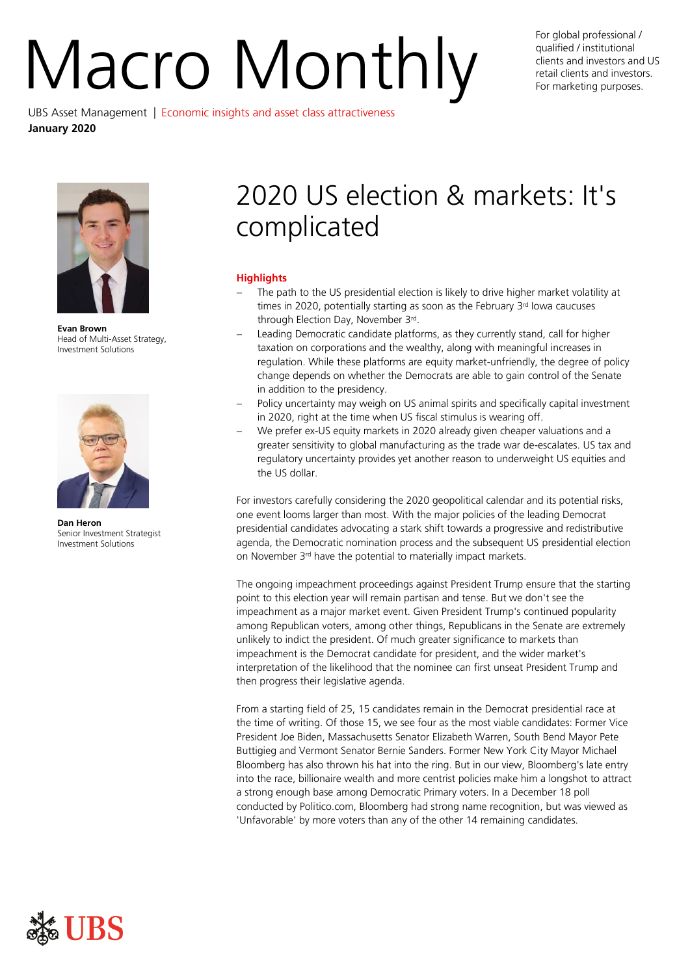# For global professional /<br>qualified / institutional<br>retail clients and investors and<br>For marketing purposes. UBS Asset Management | Economic insights and asset class attractiveness

qualified / institutional clients and investors and US retail clients and investors. For marketing purposes.

**January 2020**

**Evan Brown** Head of Multi-Asset Strategy, Investment Solutions



**Dan Heron** Senior Investment Strategist Investment Solutions

# 2020 US election & markets: It's complicated

# **Highlights**

- The path to the US presidential election is likely to drive higher market volatility at times in 2020, potentially starting as soon as the February 3<sup>rd</sup> lowa caucuses through Election Day, November 3rd.
- Leading Democratic candidate platforms, as they currently stand, call for higher taxation on corporations and the wealthy, along with meaningful increases in regulation. While these platforms are equity market-unfriendly, the degree of policy change depends on whether the Democrats are able to gain control of the Senate in addition to the presidency.
- Policy uncertainty may weigh on US animal spirits and specifically capital investment in 2020, right at the time when US fiscal stimulus is wearing off.
- We prefer ex-US equity markets in 2020 already given cheaper valuations and a greater sensitivity to global manufacturing as the trade war de-escalates. US tax and regulatory uncertainty provides yet another reason to underweight US equities and the US dollar.

For investors carefully considering the 2020 geopolitical calendar and its potential risks, one event looms larger than most. With the major policies of the leading Democrat presidential candidates advocating a stark shift towards a progressive and redistributive agenda, the Democratic nomination process and the subsequent US presidential election on November 3rd have the potential to materially impact markets.

The ongoing impeachment proceedings against President Trump ensure that the starting point to this election year will remain partisan and tense. But we don't see the impeachment as a major market event. Given President Trump's continued popularity among Republican voters, among other things, Republicans in the Senate are extremely unlikely to indict the president. Of much greater significance to markets than impeachment is the Democrat candidate for president, and the wider market's interpretation of the likelihood that the nominee can first unseat President Trump and then progress their legislative agenda.

From a starting field of 25, 15 candidates remain in the Democrat presidential race at the time of writing. Of those 15, we see four as the most viable candidates: Former Vice President Joe Biden, Massachusetts Senator Elizabeth Warren, South Bend Mayor Pete Buttigieg and Vermont Senator Bernie Sanders. Former New York City Mayor Michael Bloomberg has also thrown his hat into the ring. But in our view, Bloomberg's late entry into the race, billionaire wealth and more centrist policies make him a longshot to attract a strong enough base among Democratic Primary voters. In a December 18 poll conducted by Politico.com, Bloomberg had strong name recognition, but was viewed as 'Unfavorable' by more voters than any of the other 14 remaining candidates.

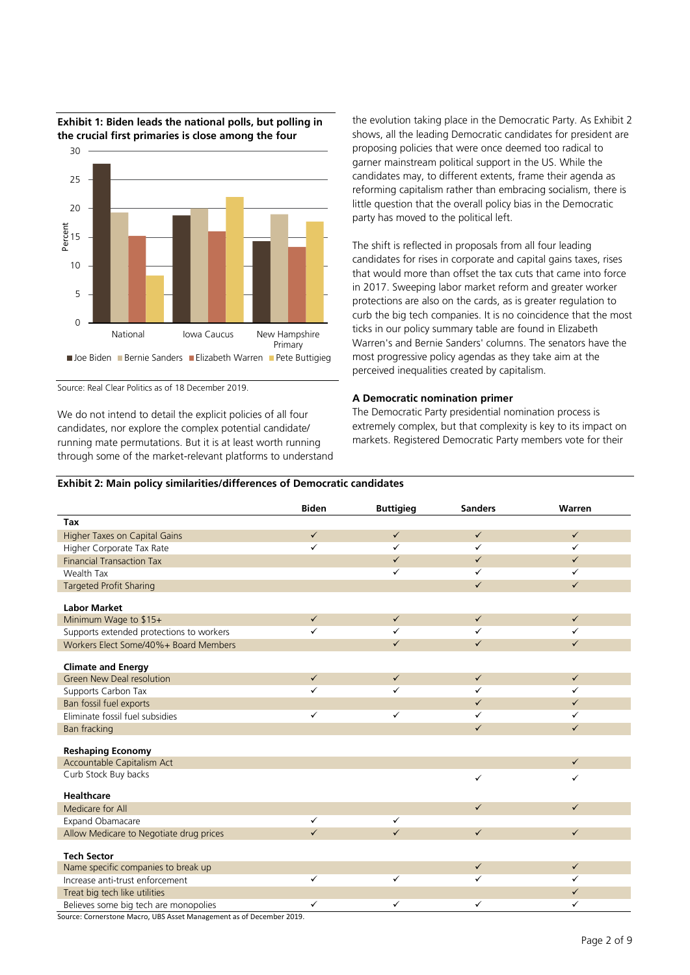

**Exhibit 1: Biden leads the national polls, but polling in the crucial first primaries is close among the four**

Source: Real Clear Politics as of 18 December 2019.

We do not intend to detail the explicit policies of all four candidates, nor explore the complex potential candidate/ running mate permutations. But it is at least worth running through some of the market-relevant platforms to understand the evolution taking place in the Democratic Party. As Exhibit 2 shows, all the leading Democratic candidates for president are proposing policies that were once deemed too radical to garner mainstream political support in the US. While the candidates may, to different extents, frame their agenda as reforming capitalism rather than embracing socialism, there is little question that the overall policy bias in the Democratic party has moved to the political left.

The shift is reflected in proposals from all four leading candidates for rises in corporate and capital gains taxes, rises that would more than offset the tax cuts that came into force in 2017. Sweeping labor market reform and greater worker protections are also on the cards, as is greater regulation to curb the big tech companies. It is no coincidence that the most ticks in our policy summary table are found in Elizabeth Warren's and Bernie Sanders' columns. The senators have the most progressive policy agendas as they take aim at the perceived inequalities created by capitalism.

# **A Democratic nomination primer**

The Democratic Party presidential nomination process is extremely complex, but that complexity is key to its impact on markets. Registered Democratic Party members vote for their

# **Exhibit 2: Main policy similarities/differences of Democratic candidates**

|                                          | <b>Biden</b> | <b>Buttigieg</b> | <b>Sanders</b> | Warren       |
|------------------------------------------|--------------|------------------|----------------|--------------|
| Tax                                      |              |                  |                |              |
| <b>Higher Taxes on Capital Gains</b>     | $\checkmark$ | $\checkmark$     | $\checkmark$   | $\checkmark$ |
| Higher Corporate Tax Rate                | ✓            | ✓                | ✓              | $\checkmark$ |
| <b>Financial Transaction Tax</b>         |              | $\checkmark$     | $\checkmark$   | $\checkmark$ |
| Wealth Tax                               |              | ✓                | ✓              | $\checkmark$ |
| <b>Targeted Profit Sharing</b>           |              |                  | $\checkmark$   | $\checkmark$ |
|                                          |              |                  |                |              |
| <b>Labor Market</b>                      | $\checkmark$ | $\checkmark$     | $\checkmark$   | $\checkmark$ |
| Minimum Wage to \$15+                    |              |                  |                |              |
| Supports extended protections to workers | ✓            | ✓                | ✓              | $\checkmark$ |
| Workers Elect Some/40%+ Board Members    |              | $\checkmark$     | $\checkmark$   | $\checkmark$ |
| <b>Climate and Energy</b>                |              |                  |                |              |
| Green New Deal resolution                | $\checkmark$ | $\checkmark$     | $\checkmark$   | $\checkmark$ |
| Supports Carbon Tax                      | ✓            | ✓                | ✓              | $\checkmark$ |
| Ban fossil fuel exports                  |              |                  | $\checkmark$   | $\checkmark$ |
| Eliminate fossil fuel subsidies          | ✓            | ✓                | ✓              | ✓            |
| Ban fracking                             |              |                  | $\checkmark$   | $\checkmark$ |
|                                          |              |                  |                |              |
| <b>Reshaping Economy</b>                 |              |                  |                | $\checkmark$ |
| Accountable Capitalism Act               |              |                  |                |              |
| Curb Stock Buy backs                     |              |                  | ✓              | $\checkmark$ |
| <b>Healthcare</b>                        |              |                  |                |              |
| Medicare for All                         |              |                  | $\checkmark$   | $\checkmark$ |
| Expand Obamacare                         | $\checkmark$ | $\checkmark$     |                |              |
| Allow Medicare to Negotiate drug prices  | $\checkmark$ | $\checkmark$     | $\checkmark$   | $\checkmark$ |
|                                          |              |                  |                |              |
| <b>Tech Sector</b>                       |              |                  |                |              |
| Name specific companies to break up      |              |                  | $\checkmark$   | $\checkmark$ |
| Increase anti-trust enforcement          | ✓            | ✓                | ✓              | $\checkmark$ |
| Treat big tech like utilities            |              |                  |                | $\checkmark$ |
| Believes some big tech are monopolies    | ✓            | ✓                | ✓              | ✓            |

Source: Cornerstone Macro, UBS Asset Management as of December 2019.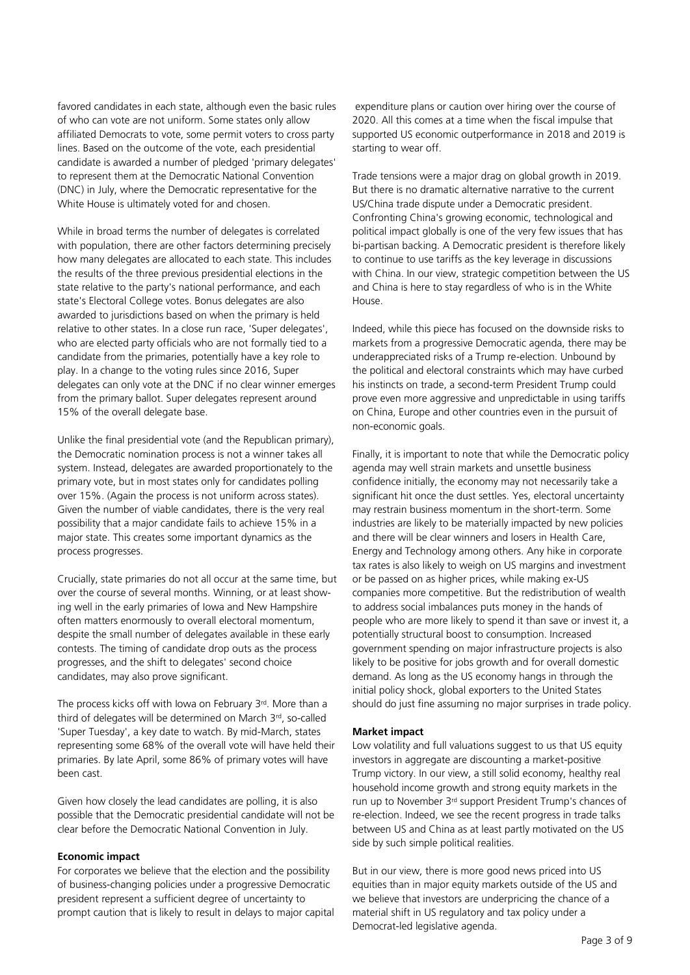favored candidates in each state, although even the basic rules of who can vote are not uniform. Some states only allow affiliated Democrats to vote, some permit voters to cross party lines. Based on the outcome of the vote, each presidential candidate is awarded a number of pledged 'primary delegates' to represent them at the Democratic National Convention (DNC) in July, where the Democratic representative for the White House is ultimately voted for and chosen.

While in broad terms the number of delegates is correlated with population, there are other factors determining precisely how many delegates are allocated to each state. This includes the results of the three previous presidential elections in the state relative to the party's national performance, and each state's Electoral College votes. Bonus delegates are also awarded to jurisdictions based on when the primary is held relative to other states. In a close run race, 'Super delegates', who are elected party officials who are not formally tied to a candidate from the primaries, potentially have a key role to play. In a change to the voting rules since 2016, Super delegates can only vote at the DNC if no clear winner emerges from the primary ballot. Super delegates represent around 15% of the overall delegate base.

Unlike the final presidential vote (and the Republican primary), the Democratic nomination process is not a winner takes all system. Instead, delegates are awarded proportionately to the primary vote, but in most states only for candidates polling over 15%. (Again the process is not uniform across states). Given the number of viable candidates, there is the very real possibility that a major candidate fails to achieve 15% in a major state. This creates some important dynamics as the process progresses.

Crucially, state primaries do not all occur at the same time, but over the course of several months. Winning, or at least showing well in the early primaries of Iowa and New Hampshire often matters enormously to overall electoral momentum, despite the small number of delegates available in these early contests. The timing of candidate drop outs as the process progresses, and the shift to delegates' second choice candidates, may also prove significant.

The process kicks off with Iowa on February 3 rd. More than a third of delegates will be determined on March 3rd, so-called 'Super Tuesday', a key date to watch. By mid-March, states representing some 68% of the overall vote will have held their primaries. By late April, some 86% of primary votes will have been cast.

Given how closely the lead candidates are polling, it is also possible that the Democratic presidential candidate will not be clear before the Democratic National Convention in July.

### **Economic impact**

For corporates we believe that the election and the possibility of business-changing policies under a progressive Democratic president represent a sufficient degree of uncertainty to prompt caution that is likely to result in delays to major capital

expenditure plans or caution over hiring over the course of 2020. All this comes at a time when the fiscal impulse that supported US economic outperformance in 2018 and 2019 is starting to wear off.

Trade tensions were a major drag on global growth in 2019. But there is no dramatic alternative narrative to the current US/China trade dispute under a Democratic president. Confronting China's growing economic, technological and political impact globally is one of the very few issues that has bi-partisan backing. A Democratic president is therefore likely to continue to use tariffs as the key leverage in discussions with China. In our view, strategic competition between the US and China is here to stay regardless of who is in the White House.

Indeed, while this piece has focused on the downside risks to markets from a progressive Democratic agenda, there may be underappreciated risks of a Trump re-election. Unbound by the political and electoral constraints which may have curbed his instincts on trade, a second-term President Trump could prove even more aggressive and unpredictable in using tariffs on China, Europe and other countries even in the pursuit of non-economic goals.

Finally, it is important to note that while the Democratic policy agenda may well strain markets and unsettle business confidence initially, the economy may not necessarily take a significant hit once the dust settles. Yes, electoral uncertainty may restrain business momentum in the short-term. Some industries are likely to be materially impacted by new policies and there will be clear winners and losers in Health Care, Energy and Technology among others. Any hike in corporate tax rates is also likely to weigh on US margins and investment or be passed on as higher prices, while making ex-US companies more competitive. But the redistribution of wealth to address social imbalances puts money in the hands of people who are more likely to spend it than save or invest it, a potentially structural boost to consumption. Increased government spending on major infrastructure projects is also likely to be positive for jobs growth and for overall domestic demand. As long as the US economy hangs in through the initial policy shock, global exporters to the United States should do just fine assuming no major surprises in trade policy.

## **Market impact**

Low volatility and full valuations suggest to us that US equity investors in aggregate are discounting a market-positive Trump victory. In our view, a still solid economy, healthy real household income growth and strong equity markets in the run up to November 3rd support President Trump's chances of re-election. Indeed, we see the recent progress in trade talks between US and China as at least partly motivated on the US side by such simple political realities.

But in our view, there is more good news priced into US equities than in major equity markets outside of the US and we believe that investors are underpricing the chance of a material shift in US regulatory and tax policy under a Democrat-led legislative agenda.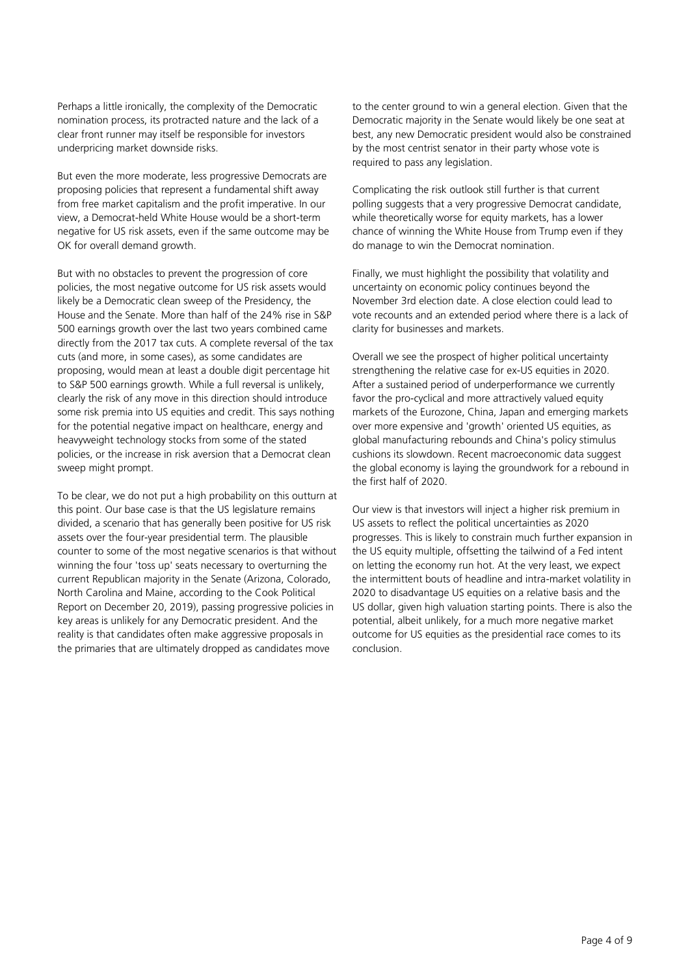Perhaps a little ironically, the complexity of the Democratic nomination process, its protracted nature and the lack of a clear front runner may itself be responsible for investors underpricing market downside risks.

But even the more moderate, less progressive Democrats are proposing policies that represent a fundamental shift away from free market capitalism and the profit imperative. In our view, a Democrat-held White House would be a short-term negative for US risk assets, even if the same outcome may be OK for overall demand growth.

But with no obstacles to prevent the progression of core policies, the most negative outcome for US risk assets would likely be a Democratic clean sweep of the Presidency, the House and the Senate. More than half of the 24% rise in S&P 500 earnings growth over the last two years combined came directly from the 2017 tax cuts. A complete reversal of the tax cuts (and more, in some cases), as some candidates are proposing, would mean at least a double digit percentage hit to S&P 500 earnings growth. While a full reversal is unlikely, clearly the risk of any move in this direction should introduce some risk premia into US equities and credit. This says nothing for the potential negative impact on healthcare, energy and heavyweight technology stocks from some of the stated policies, or the increase in risk aversion that a Democrat clean sweep might prompt.

To be clear, we do not put a high probability on this outturn at this point. Our base case is that the US legislature remains divided, a scenario that has generally been positive for US risk assets over the four-year presidential term. The plausible counter to some of the most negative scenarios is that without winning the four 'toss up' seats necessary to overturning the current Republican majority in the Senate (Arizona, Colorado, North Carolina and Maine, according to the Cook Political Report on December 20, 2019), passing progressive policies in key areas is unlikely for any Democratic president. And the reality is that candidates often make aggressive proposals in the primaries that are ultimately dropped as candidates move

to the center ground to win a general election. Given that the Democratic majority in the Senate would likely be one seat at best, any new Democratic president would also be constrained by the most centrist senator in their party whose vote is required to pass any legislation.

Complicating the risk outlook still further is that current polling suggests that a very progressive Democrat candidate, while theoretically worse for equity markets, has a lower chance of winning the White House from Trump even if they do manage to win the Democrat nomination.

Finally, we must highlight the possibility that volatility and uncertainty on economic policy continues beyond the November 3rd election date. A close election could lead to vote recounts and an extended period where there is a lack of clarity for businesses and markets.

Overall we see the prospect of higher political uncertainty strengthening the relative case for ex-US equities in 2020. After a sustained period of underperformance we currently favor the pro-cyclical and more attractively valued equity markets of the Eurozone, China, Japan and emerging markets over more expensive and 'growth' oriented US equities, as global manufacturing rebounds and China's policy stimulus cushions its slowdown. Recent macroeconomic data suggest the global economy is laying the groundwork for a rebound in the first half of 2020.

Our view is that investors will inject a higher risk premium in US assets to reflect the political uncertainties as 2020 progresses. This is likely to constrain much further expansion in the US equity multiple, offsetting the tailwind of a Fed intent on letting the economy run hot. At the very least, we expect the intermittent bouts of headline and intra-market volatility in 2020 to disadvantage US equities on a relative basis and the US dollar, given high valuation starting points. There is also the potential, albeit unlikely, for a much more negative market outcome for US equities as the presidential race comes to its conclusion.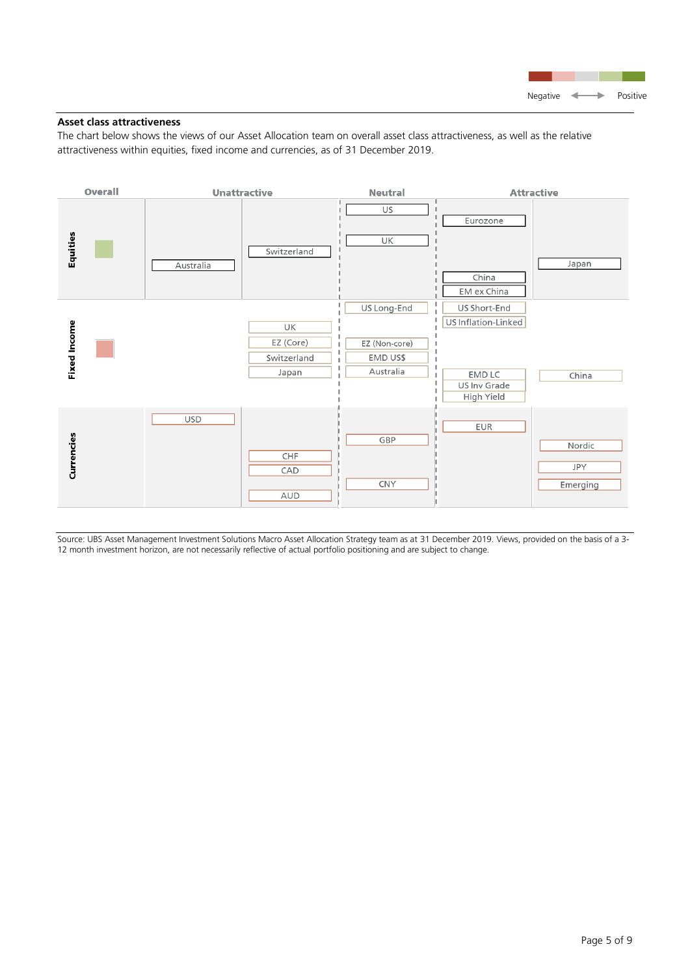

# **Asset class attractiveness**

The chart below shows the views of our Asset Allocation team on overall asset class attractiveness, as well as the relative attractiveness within equities, fixed income and currencies, as of 31 December 2019.



Source: UBS Asset Management Investment Solutions Macro Asset Allocation Strategy team as at 31 December 2019. Views, provided on the basis of a 3- 12 month investment horizon, are not necessarily reflective of actual portfolio positioning and are subject to change.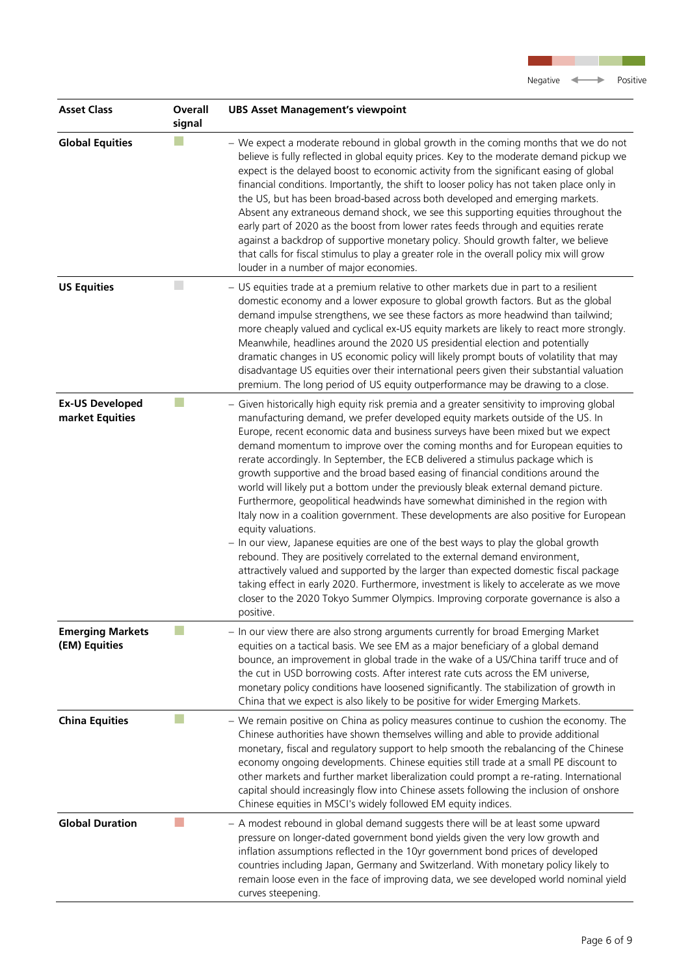| <b>Asset Class</b>                        | Overall<br>signal | <b>UBS Asset Management's viewpoint</b>                                                                                                                                                                                                                                                                                                                                                                                                                                                                                                                                                                                                                                                                                                                                                                                                                                                                                                                                                                                                                                                                                                                                                                                                                                       |
|-------------------------------------------|-------------------|-------------------------------------------------------------------------------------------------------------------------------------------------------------------------------------------------------------------------------------------------------------------------------------------------------------------------------------------------------------------------------------------------------------------------------------------------------------------------------------------------------------------------------------------------------------------------------------------------------------------------------------------------------------------------------------------------------------------------------------------------------------------------------------------------------------------------------------------------------------------------------------------------------------------------------------------------------------------------------------------------------------------------------------------------------------------------------------------------------------------------------------------------------------------------------------------------------------------------------------------------------------------------------|
| <b>Global Equities</b>                    |                   | - We expect a moderate rebound in global growth in the coming months that we do not<br>believe is fully reflected in global equity prices. Key to the moderate demand pickup we<br>expect is the delayed boost to economic activity from the significant easing of global<br>financial conditions. Importantly, the shift to looser policy has not taken place only in<br>the US, but has been broad-based across both developed and emerging markets.<br>Absent any extraneous demand shock, we see this supporting equities throughout the<br>early part of 2020 as the boost from lower rates feeds through and equities rerate<br>against a backdrop of supportive monetary policy. Should growth falter, we believe<br>that calls for fiscal stimulus to play a greater role in the overall policy mix will grow<br>louder in a number of major economies.                                                                                                                                                                                                                                                                                                                                                                                                               |
| <b>US Equities</b>                        | $\Box$            | - US equities trade at a premium relative to other markets due in part to a resilient<br>domestic economy and a lower exposure to global growth factors. But as the global<br>demand impulse strengthens, we see these factors as more headwind than tailwind;<br>more cheaply valued and cyclical ex-US equity markets are likely to react more strongly.<br>Meanwhile, headlines around the 2020 US presidential election and potentially<br>dramatic changes in US economic policy will likely prompt bouts of volatility that may<br>disadvantage US equities over their international peers given their substantial valuation<br>premium. The long period of US equity outperformance may be drawing to a close.                                                                                                                                                                                                                                                                                                                                                                                                                                                                                                                                                         |
| <b>Ex-US Developed</b><br>market Equities |                   | - Given historically high equity risk premia and a greater sensitivity to improving global<br>manufacturing demand, we prefer developed equity markets outside of the US. In<br>Europe, recent economic data and business surveys have been mixed but we expect<br>demand momentum to improve over the coming months and for European equities to<br>rerate accordingly. In September, the ECB delivered a stimulus package which is<br>growth supportive and the broad based easing of financial conditions around the<br>world will likely put a bottom under the previously bleak external demand picture.<br>Furthermore, geopolitical headwinds have somewhat diminished in the region with<br>Italy now in a coalition government. These developments are also positive for European<br>equity valuations.<br>- In our view, Japanese equities are one of the best ways to play the global growth<br>rebound. They are positively correlated to the external demand environment,<br>attractively valued and supported by the larger than expected domestic fiscal package<br>taking effect in early 2020. Furthermore, investment is likely to accelerate as we move<br>closer to the 2020 Tokyo Summer Olympics. Improving corporate governance is also a<br>positive. |
| <b>Emerging Markets</b><br>(EM) Equities  |                   | - In our view there are also strong arguments currently for broad Emerging Market<br>equities on a tactical basis. We see EM as a major beneficiary of a global demand<br>bounce, an improvement in global trade in the wake of a US/China tariff truce and of<br>the cut in USD borrowing costs. After interest rate cuts across the EM universe,<br>monetary policy conditions have loosened significantly. The stabilization of growth in<br>China that we expect is also likely to be positive for wider Emerging Markets.                                                                                                                                                                                                                                                                                                                                                                                                                                                                                                                                                                                                                                                                                                                                                |
| <b>China Equities</b>                     |                   | - We remain positive on China as policy measures continue to cushion the economy. The<br>Chinese authorities have shown themselves willing and able to provide additional<br>monetary, fiscal and regulatory support to help smooth the rebalancing of the Chinese<br>economy ongoing developments. Chinese equities still trade at a small PE discount to<br>other markets and further market liberalization could prompt a re-rating. International<br>capital should increasingly flow into Chinese assets following the inclusion of onshore<br>Chinese equities in MSCI's widely followed EM equity indices.                                                                                                                                                                                                                                                                                                                                                                                                                                                                                                                                                                                                                                                             |
| <b>Global Duration</b>                    |                   | - A modest rebound in global demand suggests there will be at least some upward<br>pressure on longer-dated government bond yields given the very low growth and<br>inflation assumptions reflected in the 10yr government bond prices of developed<br>countries including Japan, Germany and Switzerland. With monetary policy likely to<br>remain loose even in the face of improving data, we see developed world nominal yield<br>curves steepening.                                                                                                                                                                                                                                                                                                                                                                                                                                                                                                                                                                                                                                                                                                                                                                                                                      |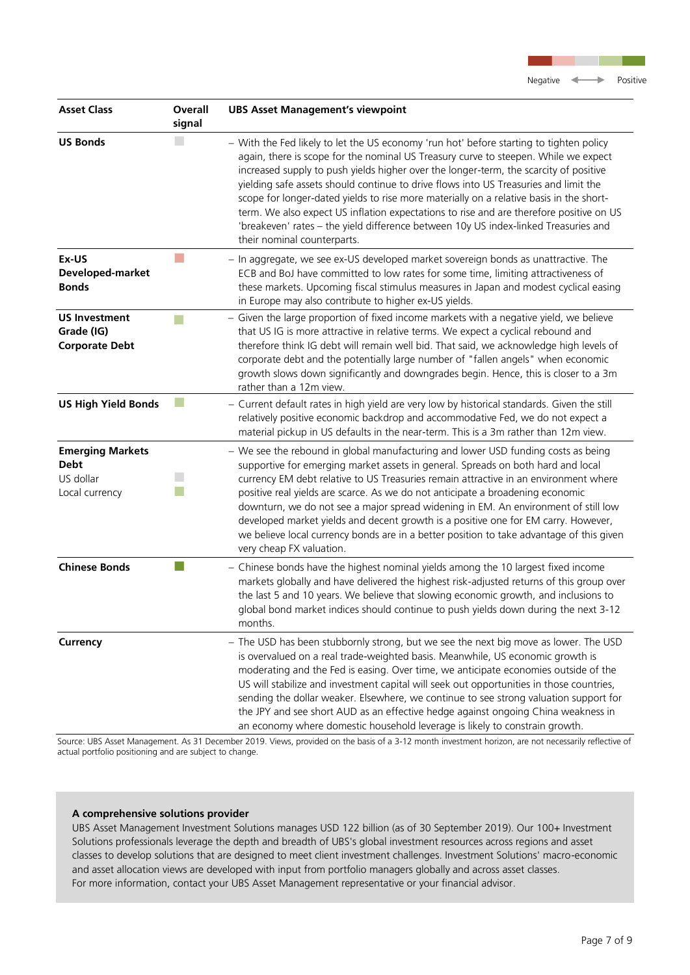| <b>Asset Class</b>                                                    | Overall<br>signal | <b>UBS Asset Management's viewpoint</b>                                                                                                                                                                                                                                                                                                                                                                                                                                                                                                                                                                                                                                     |
|-----------------------------------------------------------------------|-------------------|-----------------------------------------------------------------------------------------------------------------------------------------------------------------------------------------------------------------------------------------------------------------------------------------------------------------------------------------------------------------------------------------------------------------------------------------------------------------------------------------------------------------------------------------------------------------------------------------------------------------------------------------------------------------------------|
| <b>US Bonds</b>                                                       |                   | - With the Fed likely to let the US economy 'run hot' before starting to tighten policy<br>again, there is scope for the nominal US Treasury curve to steepen. While we expect<br>increased supply to push yields higher over the longer-term, the scarcity of positive<br>yielding safe assets should continue to drive flows into US Treasuries and limit the<br>scope for longer-dated yields to rise more materially on a relative basis in the short-<br>term. We also expect US inflation expectations to rise and are therefore positive on US<br>'breakeven' rates - the yield difference between 10y US index-linked Treasuries and<br>their nominal counterparts. |
| Ex-US<br>Developed-market<br><b>Bonds</b>                             |                   | - In aggregate, we see ex-US developed market sovereign bonds as unattractive. The<br>ECB and BoJ have committed to low rates for some time, limiting attractiveness of<br>these markets. Upcoming fiscal stimulus measures in Japan and modest cyclical easing<br>in Europe may also contribute to higher ex-US yields.                                                                                                                                                                                                                                                                                                                                                    |
| <b>US Investment</b><br>Grade (IG)<br><b>Corporate Debt</b>           |                   | - Given the large proportion of fixed income markets with a negative yield, we believe<br>that US IG is more attractive in relative terms. We expect a cyclical rebound and<br>therefore think IG debt will remain well bid. That said, we acknowledge high levels of<br>corporate debt and the potentially large number of "fallen angels" when economic<br>growth slows down significantly and downgrades begin. Hence, this is closer to a 3m<br>rather than a 12m view.                                                                                                                                                                                                 |
| <b>US High Yield Bonds</b>                                            |                   | - Current default rates in high yield are very low by historical standards. Given the still<br>relatively positive economic backdrop and accommodative Fed, we do not expect a<br>material pickup in US defaults in the near-term. This is a 3m rather than 12m view.                                                                                                                                                                                                                                                                                                                                                                                                       |
| <b>Emerging Markets</b><br><b>Debt</b><br>US dollar<br>Local currency |                   | - We see the rebound in global manufacturing and lower USD funding costs as being<br>supportive for emerging market assets in general. Spreads on both hard and local<br>currency EM debt relative to US Treasuries remain attractive in an environment where<br>positive real yields are scarce. As we do not anticipate a broadening economic<br>downturn, we do not see a major spread widening in EM. An environment of still low<br>developed market yields and decent growth is a positive one for EM carry. However,<br>we believe local currency bonds are in a better position to take advantage of this given<br>very cheap FX valuation.                         |
| <b>Chinese Bonds</b>                                                  |                   | - Chinese bonds have the highest nominal yields among the 10 largest fixed income<br>markets globally and have delivered the highest risk-adjusted returns of this group over<br>the last 5 and 10 years. We believe that slowing economic growth, and inclusions to<br>global bond market indices should continue to push yields down during the next 3-12<br>months.                                                                                                                                                                                                                                                                                                      |
| <b>Currency</b>                                                       |                   | - The USD has been stubbornly strong, but we see the next big move as lower. The USD<br>is overvalued on a real trade-weighted basis. Meanwhile, US economic growth is<br>moderating and the Fed is easing. Over time, we anticipate economies outside of the<br>US will stabilize and investment capital will seek out opportunities in those countries,<br>sending the dollar weaker. Elsewhere, we continue to see strong valuation support for<br>the JPY and see short AUD as an effective hedge against ongoing China weakness in<br>an economy where domestic household leverage is likely to constrain growth.                                                      |

Source: UBS Asset Management. As 31 December 2019. Views, provided on the basis of a 3-12 month investment horizon, are not necessarily reflective of actual portfolio positioning and are subject to change.

# **A comprehensive solutions provider**

UBS Asset Management Investment Solutions manages USD 122 billion (as of 30 September 2019). Our 100+ Investment Solutions professionals leverage the depth and breadth of UBS's global investment resources across regions and asset classes to develop solutions that are designed to meet client investment challenges. Investment Solutions' macro-economic and asset allocation views are developed with input from portfolio managers globally and across asset classes. For more information, contact your UBS Asset Management representative or your financial advisor.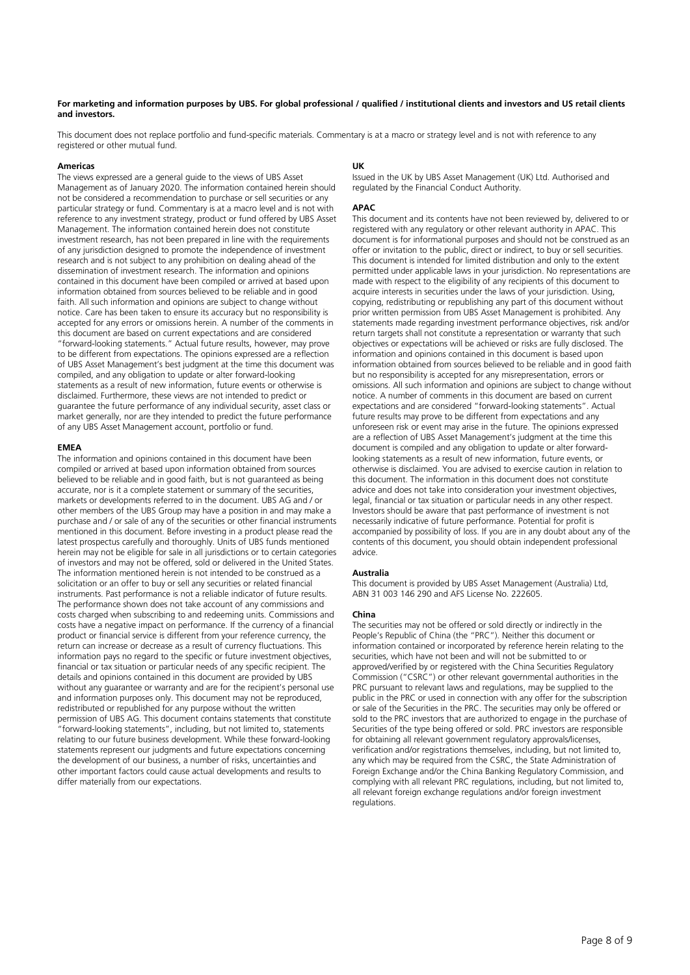#### **For marketing and information purposes by UBS. For global professional / qualified / institutional clients and investors and US retail clients and investors.**

This document does not replace portfolio and fund-specific materials. Commentary is at a macro or strategy level and is not with reference to any registered or other mutual fund.

#### **Americas**

The views expressed are a general guide to the views of UBS Asset Management as of January 2020. The information contained herein should not be considered a recommendation to purchase or sell securities or any particular strategy or fund. Commentary is at a macro level and is not with reference to any investment strategy, product or fund offered by UBS Asset Management. The information contained herein does not constitute investment research, has not been prepared in line with the requirements of any jurisdiction designed to promote the independence of investment research and is not subject to any prohibition on dealing ahead of the dissemination of investment research. The information and opinions contained in this document have been compiled or arrived at based upon information obtained from sources believed to be reliable and in good faith. All such information and opinions are subject to change without notice. Care has been taken to ensure its accuracy but no responsibility is accepted for any errors or omissions herein. A number of the comments in this document are based on current expectations and are considered "forward-looking statements." Actual future results, however, may prove to be different from expectations. The opinions expressed are a reflection of UBS Asset Management's best judgment at the time this document was compiled, and any obligation to update or alter forward-looking statements as a result of new information, future events or otherwise is disclaimed. Furthermore, these views are not intended to predict or guarantee the future performance of any individual security, asset class or market generally, nor are they intended to predict the future performance of any UBS Asset Management account, portfolio or fund.

#### **EMEA**

The information and opinions contained in this document have been compiled or arrived at based upon information obtained from sources believed to be reliable and in good faith, but is not guaranteed as being accurate, nor is it a complete statement or summary of the securities, markets or developments referred to in the document. UBS AG and / or other members of the UBS Group may have a position in and may make a purchase and / or sale of any of the securities or other financial instruments mentioned in this document. Before investing in a product please read the latest prospectus carefully and thoroughly. Units of UBS funds mentioned herein may not be eligible for sale in all jurisdictions or to certain categories of investors and may not be offered, sold or delivered in the United States. The information mentioned herein is not intended to be construed as a solicitation or an offer to buy or sell any securities or related financial instruments. Past performance is not a reliable indicator of future results. The performance shown does not take account of any commissions and costs charged when subscribing to and redeeming units. Commissions and costs have a negative impact on performance. If the currency of a financial product or financial service is different from your reference currency, the return can increase or decrease as a result of currency fluctuations. This information pays no regard to the specific or future investment objectives, financial or tax situation or particular needs of any specific recipient. The details and opinions contained in this document are provided by UBS without any guarantee or warranty and are for the recipient's personal use and information purposes only. This document may not be reproduced, redistributed or republished for any purpose without the written permission of UBS AG. This document contains statements that constitute "forward-looking statements", including, but not limited to, statements relating to our future business development. While these forward-looking statements represent our judgments and future expectations concerning the development of our business, a number of risks, uncertainties and other important factors could cause actual developments and results to differ materially from our expectations.

#### **UK**

Issued in the UK by UBS Asset Management (UK) Ltd. Authorised and regulated by the Financial Conduct Authority.

#### **APAC**

This document and its contents have not been reviewed by, delivered to or registered with any regulatory or other relevant authority in APAC. This document is for informational purposes and should not be construed as an offer or invitation to the public, direct or indirect, to buy or sell securities. This document is intended for limited distribution and only to the extent permitted under applicable laws in your jurisdiction. No representations are made with respect to the eligibility of any recipients of this document to acquire interests in securities under the laws of your jurisdiction. Using, copying, redistributing or republishing any part of this document without prior written permission from UBS Asset Management is prohibited. Any statements made regarding investment performance objectives, risk and/or return targets shall not constitute a representation or warranty that such objectives or expectations will be achieved or risks are fully disclosed. The information and opinions contained in this document is based upon information obtained from sources believed to be reliable and in good faith but no responsibility is accepted for any misrepresentation, errors or omissions. All such information and opinions are subject to change without notice. A number of comments in this document are based on current expectations and are considered "forward-looking statements". Actual future results may prove to be different from expectations and any unforeseen risk or event may arise in the future. The opinions expressed are a reflection of UBS Asset Management's judgment at the time this document is compiled and any obligation to update or alter forwardlooking statements as a result of new information, future events, or otherwise is disclaimed. You are advised to exercise caution in relation to this document. The information in this document does not constitute advice and does not take into consideration your investment objectives, legal, financial or tax situation or particular needs in any other respect. Investors should be aware that past performance of investment is not necessarily indicative of future performance. Potential for profit is accompanied by possibility of loss. If you are in any doubt about any of the contents of this document, you should obtain independent professional advice.

#### **Australia**

This document is provided by UBS Asset Management (Australia) Ltd, ABN 31 003 146 290 and AFS License No. 222605.

#### **China**

The securities may not be offered or sold directly or indirectly in the People's Republic of China (the "PRC"). Neither this document or information contained or incorporated by reference herein relating to the securities, which have not been and will not be submitted to or approved/verified by or registered with the China Securities Regulatory Commission ("CSRC") or other relevant governmental authorities in the PRC pursuant to relevant laws and regulations, may be supplied to the public in the PRC or used in connection with any offer for the subscription or sale of the Securities in the PRC. The securities may only be offered or sold to the PRC investors that are authorized to engage in the purchase of Securities of the type being offered or sold. PRC investors are responsible for obtaining all relevant government regulatory approvals/licenses, verification and/or registrations themselves, including, but not limited to, any which may be required from the CSRC, the State Administration of Foreign Exchange and/or the China Banking Regulatory Commission, and complying with all relevant PRC regulations, including, but not limited to, all relevant foreign exchange regulations and/or foreign investment regulations.